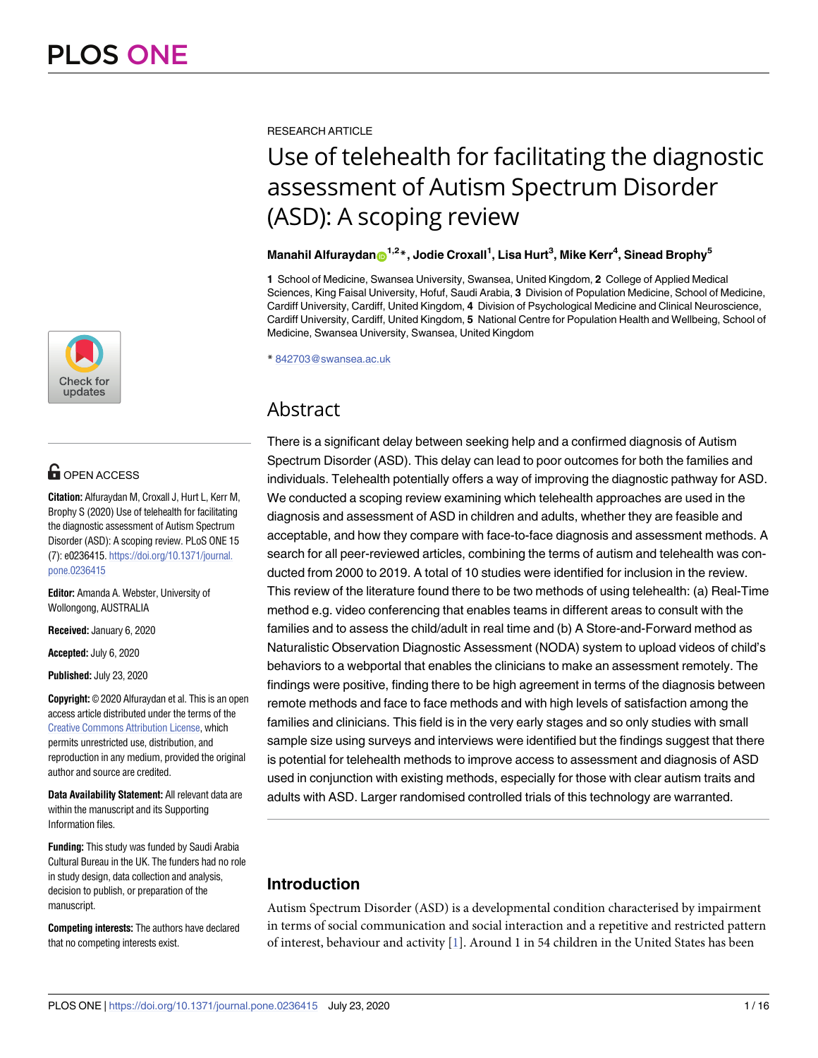

## **OPEN ACCESS**

**Citation:** Alfuraydan M, Croxall J, Hurt L, Kerr M, Brophy S (2020) Use of telehealth for facilitating the diagnostic assessment of Autism Spectrum Disorder (ASD): A scoping review. PLoS ONE 15 (7): e0236415. [https://doi.org/10.1371/journal.](https://doi.org/10.1371/journal.pone.0236415) [pone.0236415](https://doi.org/10.1371/journal.pone.0236415)

**Editor:** Amanda A. Webster, University of Wollongong, AUSTRALIA

**Received:** January 6, 2020

**Accepted:** July 6, 2020

**Published:** July 23, 2020

**Copyright:** © 2020 Alfuraydan et al. This is an open access article distributed under the terms of the Creative Commons [Attribution](http://creativecommons.org/licenses/by/4.0/) License, which permits unrestricted use, distribution, and reproduction in any medium, provided the original author and source are credited.

**Data Availability Statement:** All relevant data are within the manuscript and its Supporting Information files.

**Funding:** This study was funded by Saudi Arabia Cultural Bureau in the UK. The funders had no role in study design, data collection and analysis, decision to publish, or preparation of the manuscript.

**Competing interests:** The authors have declared that no competing interests exist.

<span id="page-0-0"></span>RESEARCH ARTICLE

# Use of telehealth for facilitating the diagnostic assessment of Autism Spectrum Disorder (ASD): A scoping review

## $M$ anahil Alfuraydan $\boldsymbol{\Theta}^{1,2}$ \*, Jodie Croxall<sup>1</sup>, Lisa Hurt<sup>3</sup>, Mike Kerr<sup>4</sup>, Sinead Brophy<sup>5</sup>

**1** School of Medicine, Swansea University, Swansea, United Kingdom, **2** College of Applied Medical Sciences, King Faisal University, Hofuf, Saudi Arabia, **3** Division of Population Medicine, School of Medicine, Cardiff University, Cardiff, United Kingdom, **4** Division of Psychological Medicine and Clinical Neuroscience, Cardiff University, Cardiff, United Kingdom, **5** National Centre for Population Health and Wellbeing, School of Medicine, Swansea University, Swansea, United Kingdom

\* 842703@swansea.ac.uk

## Abstract

There is a significant delay between seeking help and a confirmed diagnosis of Autism Spectrum Disorder (ASD). This delay can lead to poor outcomes for both the families and individuals. Telehealth potentially offers a way of improving the diagnostic pathway for ASD. We conducted a scoping review examining which telehealth approaches are used in the diagnosis and assessment of ASD in children and adults, whether they are feasible and acceptable, and how they compare with face-to-face diagnosis and assessment methods. A search for all peer-reviewed articles, combining the terms of autism and telehealth was conducted from 2000 to 2019. A total of 10 studies were identified for inclusion in the review. This review of the literature found there to be two methods of using telehealth: (a) Real-Time method e.g. video conferencing that enables teams in different areas to consult with the families and to assess the child/adult in real time and (b) A Store-and-Forward method as Naturalistic Observation Diagnostic Assessment (NODA) system to upload videos of child's behaviors to a webportal that enables the clinicians to make an assessment remotely. The findings were positive, finding there to be high agreement in terms of the diagnosis between remote methods and face to face methods and with high levels of satisfaction among the families and clinicians. This field is in the very early stages and so only studies with small sample size using surveys and interviews were identified but the findings suggest that there is potential for telehealth methods to improve access to assessment and diagnosis of ASD used in conjunction with existing methods, especially for those with clear autism traits and adults with ASD. Larger randomised controlled trials of this technology are warranted.

## **Introduction**

Autism Spectrum Disorder (ASD) is a developmental condition characterised by impairment in terms of social communication and social interaction and a repetitive and restricted pattern of interest, behaviour and activity [[1\]](#page-12-0). Around 1 in 54 children in the United States has been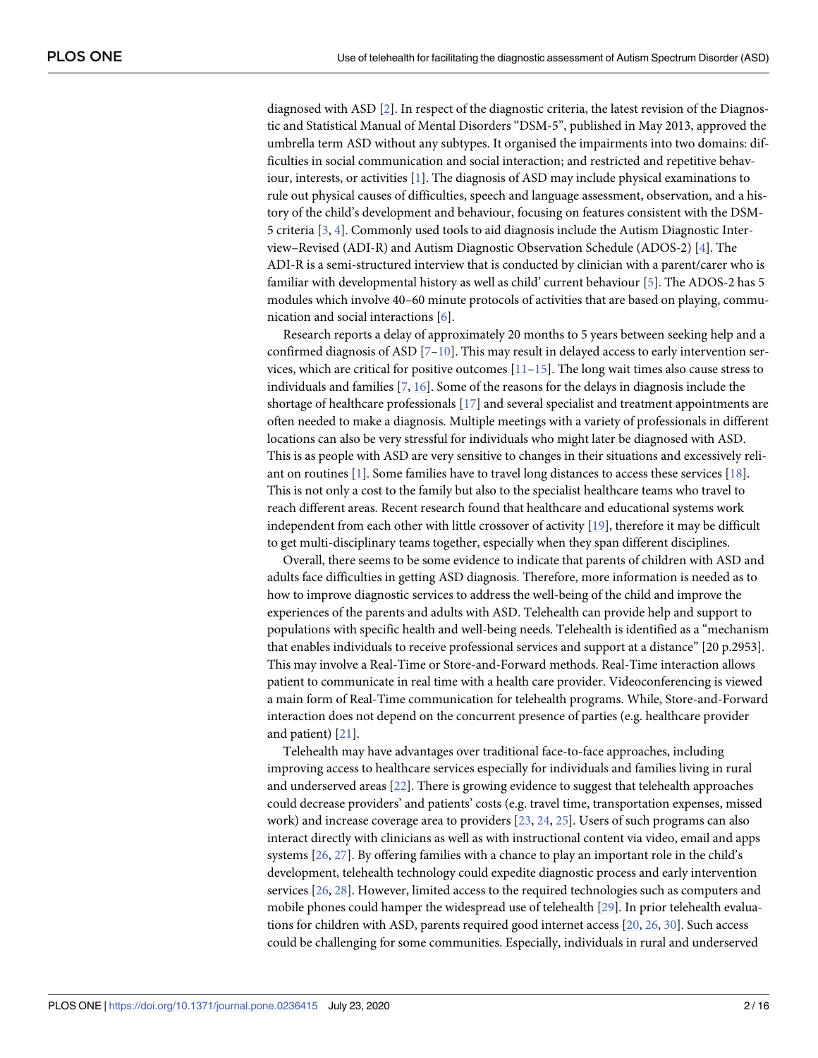<span id="page-1-0"></span>diagnosed with ASD [\[2](#page-12-0)]. In respect of the diagnostic criteria, the latest revision of the Diagnostic and Statistical Manual of Mental Disorders "DSM-5", published in May 2013, approved the umbrella term ASD without any subtypes. It organised the impairments into two domains: difficulties in social communication and social interaction; and restricted and repetitive behaviour, interests, or activities [[1](#page-12-0)]. The diagnosis of ASD may include physical examinations to rule out physical causes of difficulties, speech and language assessment, observation, and a history of the child's development and behaviour, focusing on features consistent with the DSM-5 criteria [\[3,](#page-12-0) [4](#page-12-0)]. Commonly used tools to aid diagnosis include the Autism Diagnostic Interview–Revised (ADI-R) and Autism Diagnostic Observation Schedule (ADOS-2) [[4](#page-12-0)]. The ADI-R is a semi-structured interview that is conducted by clinician with a parent/carer who is familiar with developmental history as well as child' current behaviour [[5\]](#page-12-0). The ADOS-2 has 5 modules which involve 40–60 minute protocols of activities that are based on playing, communication and social interactions [\[6\]](#page-12-0).

Research reports a delay of approximately 20 months to 5 years between seeking help and a confirmed diagnosis of ASD  $[7-10]$  $[7-10]$  $[7-10]$ . This may result in delayed access to early intervention services, which are critical for positive outcomes  $[11–15]$  $[11–15]$ . The long wait times also cause stress to individuals and families [\[7](#page-12-0), [16](#page-13-0)]. Some of the reasons for the delays in diagnosis include the shortage of healthcare professionals [\[17\]](#page-13-0) and several specialist and treatment appointments are often needed to make a diagnosis. Multiple meetings with a variety of professionals in different locations can also be very stressful for individuals who might later be diagnosed with ASD. This is as people with ASD are very sensitive to changes in their situations and excessively reliant on routines [\[1](#page-12-0)]. Some families have to travel long distances to access these services [\[18\]](#page-13-0). This is not only a cost to the family but also to the specialist healthcare teams who travel to reach different areas. Recent research found that healthcare and educational systems work independent from each other with little crossover of activity [\[19\]](#page-13-0), therefore it may be difficult to get multi-disciplinary teams together, especially when they span different disciplines.

Overall, there seems to be some evidence to indicate that parents of children with ASD and adults face difficulties in getting ASD diagnosis. Therefore, more information is needed as to how to improve diagnostic services to address the well-being of the child and improve the experiences of the parents and adults with ASD. Telehealth can provide help and support to populations with specific health and well-being needs. Telehealth is identified as a "mechanism that enables individuals to receive professional services and support at a distance" [20 p.2953]. This may involve a Real-Time or Store-and-Forward methods. Real-Time interaction allows patient to communicate in real time with a health care provider. Videoconferencing is viewed a main form of Real-Time communication for telehealth programs. While, Store-and-Forward interaction does not depend on the concurrent presence of parties (e.g. healthcare provider and patient) [\[21\]](#page-13-0).

Telehealth may have advantages over traditional face-to-face approaches, including improving access to healthcare services especially for individuals and families living in rural and underserved areas [\[22](#page-13-0)]. There is growing evidence to suggest that telehealth approaches could decrease providers' and patients' costs (e.g. travel time, transportation expenses, missed work) and increase coverage area to providers [\[23,](#page-13-0) [24,](#page-13-0) [25\]](#page-13-0). Users of such programs can also interact directly with clinicians as well as with instructional content via video, email and apps systems [\[26,](#page-13-0) [27\]](#page-13-0). By offering families with a chance to play an important role in the child's development, telehealth technology could expedite diagnostic process and early intervention services [\[26,](#page-13-0) [28\]](#page-13-0). However, limited access to the required technologies such as computers and mobile phones could hamper the widespread use of telehealth [\[29\]](#page-13-0). In prior telehealth evaluations for children with ASD, parents required good internet access [\[20,](#page-13-0) [26,](#page-13-0) [30\]](#page-13-0). Such access could be challenging for some communities. Especially, individuals in rural and underserved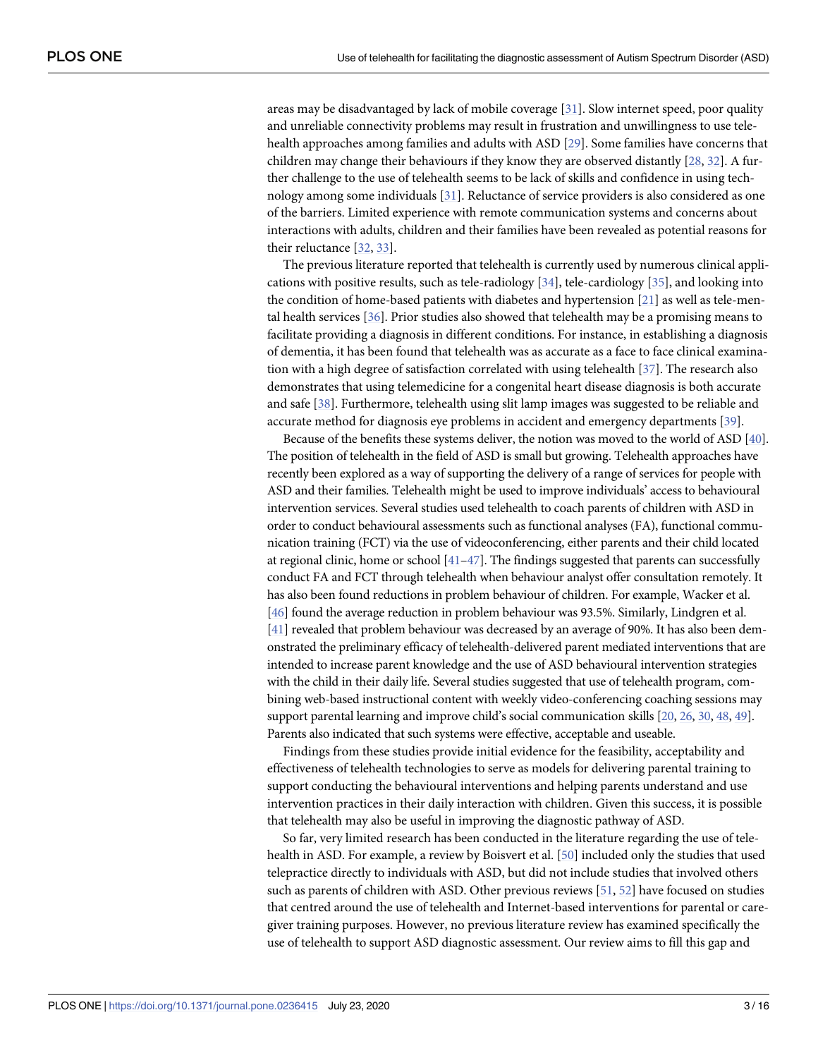<span id="page-2-0"></span>areas may be disadvantaged by lack of mobile coverage [\[31\]](#page-14-0). Slow internet speed, poor quality and unreliable connectivity problems may result in frustration and unwillingness to use telehealth approaches among families and adults with ASD [\[29\]](#page-13-0). Some families have concerns that children may change their behaviours if they know they are observed distantly [[28](#page-13-0), [32](#page-14-0)]. A further challenge to the use of telehealth seems to be lack of skills and confidence in using technology among some individuals [[31](#page-14-0)]. Reluctance of service providers is also considered as one of the barriers. Limited experience with remote communication systems and concerns about interactions with adults, children and their families have been revealed as potential reasons for their reluctance [[32](#page-14-0), [33](#page-14-0)].

The previous literature reported that telehealth is currently used by numerous clinical applications with positive results, such as tele-radiology [[34](#page-14-0)], tele-cardiology [\[35\]](#page-14-0), and looking into the condition of home-based patients with diabetes and hypertension [[21](#page-13-0)] as well as tele-mental health services [\[36\]](#page-14-0). Prior studies also showed that telehealth may be a promising means to facilitate providing a diagnosis in different conditions. For instance, in establishing a diagnosis of dementia, it has been found that telehealth was as accurate as a face to face clinical examination with a high degree of satisfaction correlated with using telehealth [\[37\]](#page-14-0). The research also demonstrates that using telemedicine for a congenital heart disease diagnosis is both accurate and safe [[38](#page-14-0)]. Furthermore, telehealth using slit lamp images was suggested to be reliable and accurate method for diagnosis eye problems in accident and emergency departments [\[39\]](#page-14-0).

Because of the benefits these systems deliver, the notion was moved to the world of ASD [[40](#page-14-0)]. The position of telehealth in the field of ASD is small but growing. Telehealth approaches have recently been explored as a way of supporting the delivery of a range of services for people with ASD and their families. Telehealth might be used to improve individuals' access to behavioural intervention services. Several studies used telehealth to coach parents of children with ASD in order to conduct behavioural assessments such as functional analyses (FA), functional communication training (FCT) via the use of videoconferencing, either parents and their child located at regional clinic, home or school  $[41-47]$ . The findings suggested that parents can successfully conduct FA and FCT through telehealth when behaviour analyst offer consultation remotely. It has also been found reductions in problem behaviour of children. For example, Wacker et al. [\[46\]](#page-14-0) found the average reduction in problem behaviour was 93.5%. Similarly, Lindgren et al. [\[41\]](#page-14-0) revealed that problem behaviour was decreased by an average of 90%. It has also been demonstrated the preliminary efficacy of telehealth-delivered parent mediated interventions that are intended to increase parent knowledge and the use of ASD behavioural intervention strategies with the child in their daily life. Several studies suggested that use of telehealth program, combining web-based instructional content with weekly video-conferencing coaching sessions may support parental learning and improve child's social communication skills [\[20,](#page-13-0) [26](#page-13-0), [30,](#page-13-0) [48,](#page-14-0) [49](#page-14-0)]. Parents also indicated that such systems were effective, acceptable and useable.

Findings from these studies provide initial evidence for the feasibility, acceptability and effectiveness of telehealth technologies to serve as models for delivering parental training to support conducting the behavioural interventions and helping parents understand and use intervention practices in their daily interaction with children. Given this success, it is possible that telehealth may also be useful in improving the diagnostic pathway of ASD.

So far, very limited research has been conducted in the literature regarding the use of telehealth in ASD. For example, a review by Boisvert et al. [\[50\]](#page-14-0) included only the studies that used telepractice directly to individuals with ASD, but did not include studies that involved others such as parents of children with ASD. Other previous reviews [\[51,](#page-15-0) [52\]](#page-15-0) have focused on studies that centred around the use of telehealth and Internet-based interventions for parental or caregiver training purposes. However, no previous literature review has examined specifically the use of telehealth to support ASD diagnostic assessment. Our review aims to fill this gap and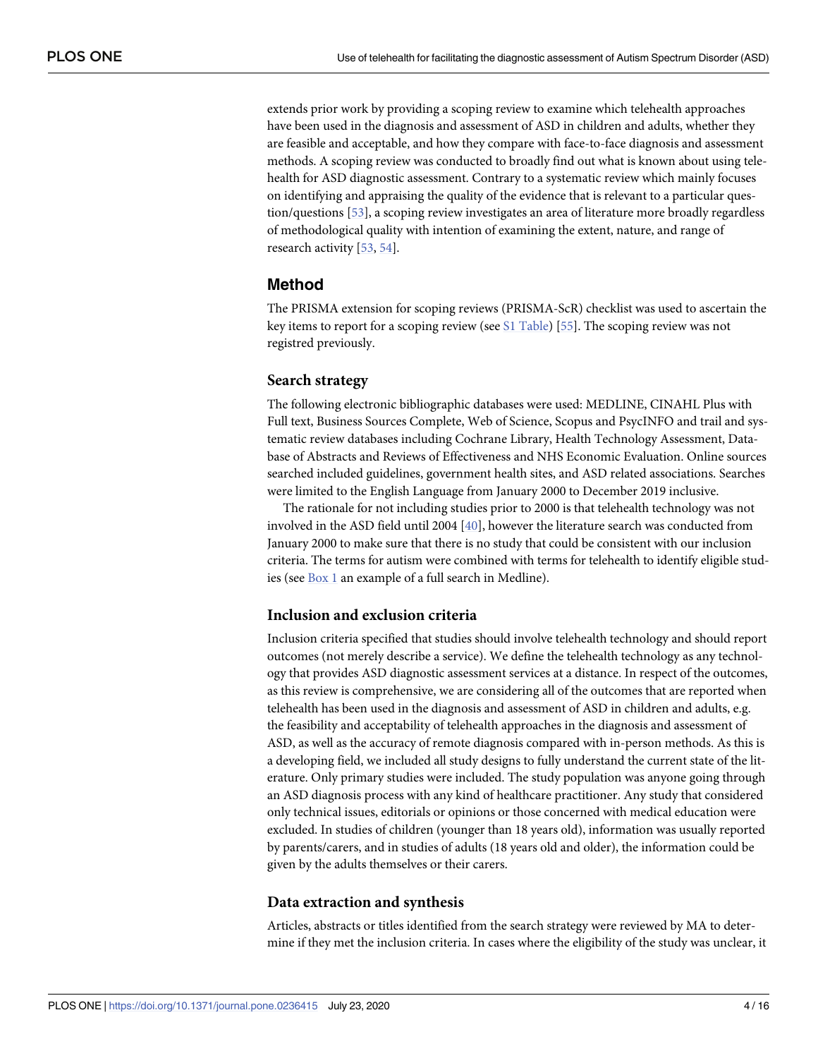<span id="page-3-0"></span>extends prior work by providing a scoping review to examine which telehealth approaches have been used in the diagnosis and assessment of ASD in children and adults, whether they are feasible and acceptable, and how they compare with face-to-face diagnosis and assessment methods. A scoping review was conducted to broadly find out what is known about using telehealth for ASD diagnostic assessment. Contrary to a systematic review which mainly focuses on identifying and appraising the quality of the evidence that is relevant to a particular question/questions [\[53\]](#page-15-0), a scoping review investigates an area of literature more broadly regardless of methodological quality with intention of examining the extent, nature, and range of research activity [\[53,](#page-15-0) [54\]](#page-15-0).

## **Method**

The PRISMA extension for scoping reviews (PRISMA-ScR) checklist was used to ascertain the key items to report for a scoping review (see S1 [Table\)](#page-12-0) [[55](#page-15-0)]. The scoping review was not registred previously.

#### **Search strategy**

The following electronic bibliographic databases were used: MEDLINE, CINAHL Plus with Full text, Business Sources Complete, Web of Science, Scopus and PsycINFO and trail and systematic review databases including Cochrane Library, Health Technology Assessment, Database of Abstracts and Reviews of Effectiveness and NHS Economic Evaluation. Online sources searched included guidelines, government health sites, and ASD related associations. Searches were limited to the English Language from January 2000 to December 2019 inclusive.

The rationale for not including studies prior to 2000 is that telehealth technology was not involved in the ASD field until 2004 [\[40\]](#page-14-0), however the literature search was conducted from January 2000 to make sure that there is no study that could be consistent with our inclusion criteria. The terms for autism were combined with terms for telehealth to identify eligible studies (see [Box](#page-4-0) 1 an example of a full search in Medline).

#### **Inclusion and exclusion criteria**

Inclusion criteria specified that studies should involve telehealth technology and should report outcomes (not merely describe a service). We define the telehealth technology as any technology that provides ASD diagnostic assessment services at a distance. In respect of the outcomes, as this review is comprehensive, we are considering all of the outcomes that are reported when telehealth has been used in the diagnosis and assessment of ASD in children and adults, e.g. the feasibility and acceptability of telehealth approaches in the diagnosis and assessment of ASD, as well as the accuracy of remote diagnosis compared with in-person methods. As this is a developing field, we included all study designs to fully understand the current state of the literature. Only primary studies were included. The study population was anyone going through an ASD diagnosis process with any kind of healthcare practitioner. Any study that considered only technical issues, editorials or opinions or those concerned with medical education were excluded. In studies of children (younger than 18 years old), information was usually reported by parents/carers, and in studies of adults (18 years old and older), the information could be given by the adults themselves or their carers.

#### **Data extraction and synthesis**

Articles, abstracts or titles identified from the search strategy were reviewed by MA to determine if they met the inclusion criteria. In cases where the eligibility of the study was unclear, it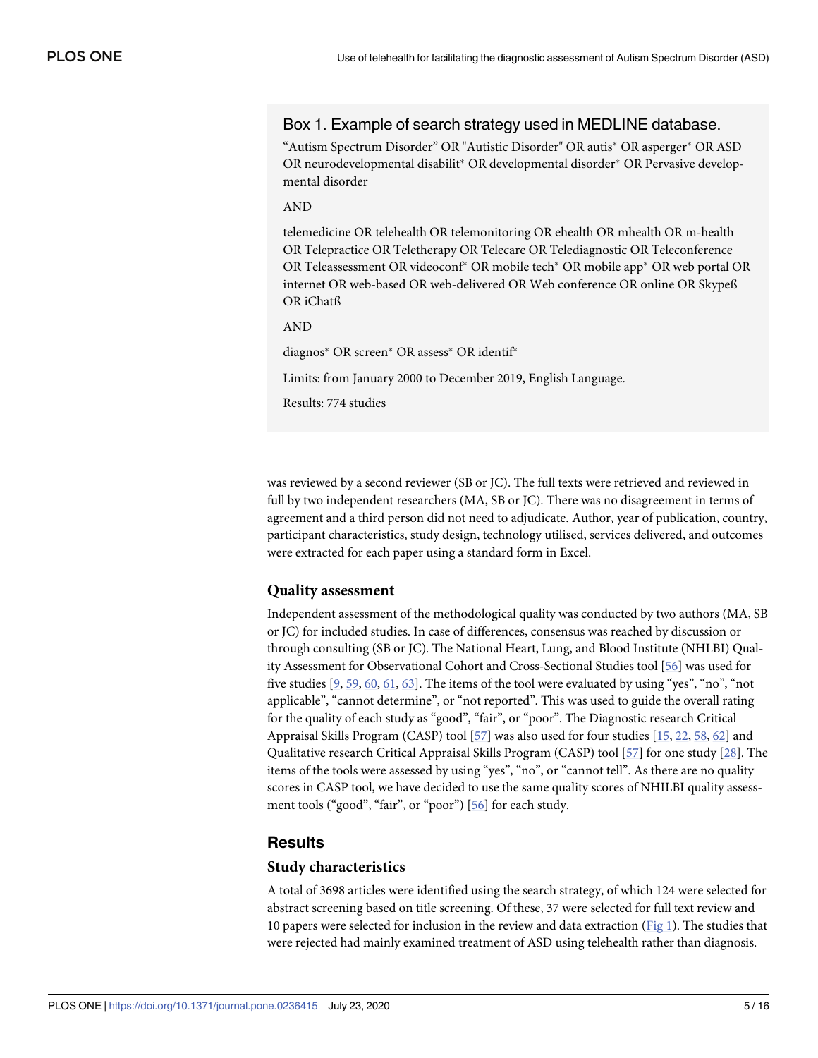## <span id="page-4-0"></span>Box 1. Example of search strategy used in MEDLINE database.

"Autism Spectrum Disorder" OR "Autistic Disorder" OR autis\* OR asperger\* OR ASD OR neurodevelopmental disabilit<sup>\*</sup> OR developmental disorder<sup>\*</sup> OR Pervasive developmental disorder

AND

telemedicine OR telehealth OR telemonitoring OR ehealth OR mhealth OR m-health OR Telepractice OR Teletherapy OR Telecare OR Telediagnostic OR Teleconference OR Teleassessment OR videoconf<sup>\*</sup> OR mobile tech<sup>\*</sup> OR mobile app<sup>\*</sup> OR web portal OR internet OR web-based OR web-delivered OR Web conference OR online OR Skypeß OR iChatß

AND

diagnos\* OR screen\* OR assess\* OR identif\*

Limits: from January 2000 to December 2019, English Language.

Results: 774 studies

was reviewed by a second reviewer (SB or JC). The full texts were retrieved and reviewed in full by two independent researchers (MA, SB or JC). There was no disagreement in terms of agreement and a third person did not need to adjudicate. Author, year of publication, country, participant characteristics, study design, technology utilised, services delivered, and outcomes were extracted for each paper using a standard form in Excel.

#### **Quality assessment**

Independent assessment of the methodological quality was conducted by two authors (MA, SB or JC) for included studies. In case of differences, consensus was reached by discussion or through consulting (SB or JC). The National Heart, Lung, and Blood Institute (NHLBI) Quality Assessment for Observational Cohort and Cross-Sectional Studies tool [\[56\]](#page-15-0) was used for five studies  $[9, 59, 60, 61, 63]$  $[9, 59, 60, 61, 63]$  $[9, 59, 60, 61, 63]$  $[9, 59, 60, 61, 63]$  $[9, 59, 60, 61, 63]$  $[9, 59, 60, 61, 63]$  $[9, 59, 60, 61, 63]$  $[9, 59, 60, 61, 63]$  $[9, 59, 60, 61, 63]$  $[9, 59, 60, 61, 63]$  $[9, 59, 60, 61, 63]$ . The items of the tool were evaluated by using "yes", "no", "not applicable", "cannot determine", or "not reported". This was used to guide the overall rating for the quality of each study as "good", "fair", or "poor". The Diagnostic research Critical Appraisal Skills Program (CASP) tool [\[57\]](#page-15-0) was also used for four studies [[15](#page-13-0), [22](#page-13-0), [58](#page-15-0), [62](#page-15-0)] and Qualitative research Critical Appraisal Skills Program (CASP) tool [[57](#page-15-0)] for one study [\[28\]](#page-13-0). The items of the tools were assessed by using "yes", "no", or "cannot tell". As there are no quality scores in CASP tool, we have decided to use the same quality scores of NHILBI quality assessment tools ("good", "fair", or "poor") [\[56\]](#page-15-0) for each study.

#### **Results**

#### **Study characteristics**

A total of 3698 articles were identified using the search strategy, of which 124 were selected for abstract screening based on title screening. Of these, 37 were selected for full text review and 10 papers were selected for inclusion in the review and data extraction ([Fig](#page-5-0) 1). The studies that were rejected had mainly examined treatment of ASD using telehealth rather than diagnosis.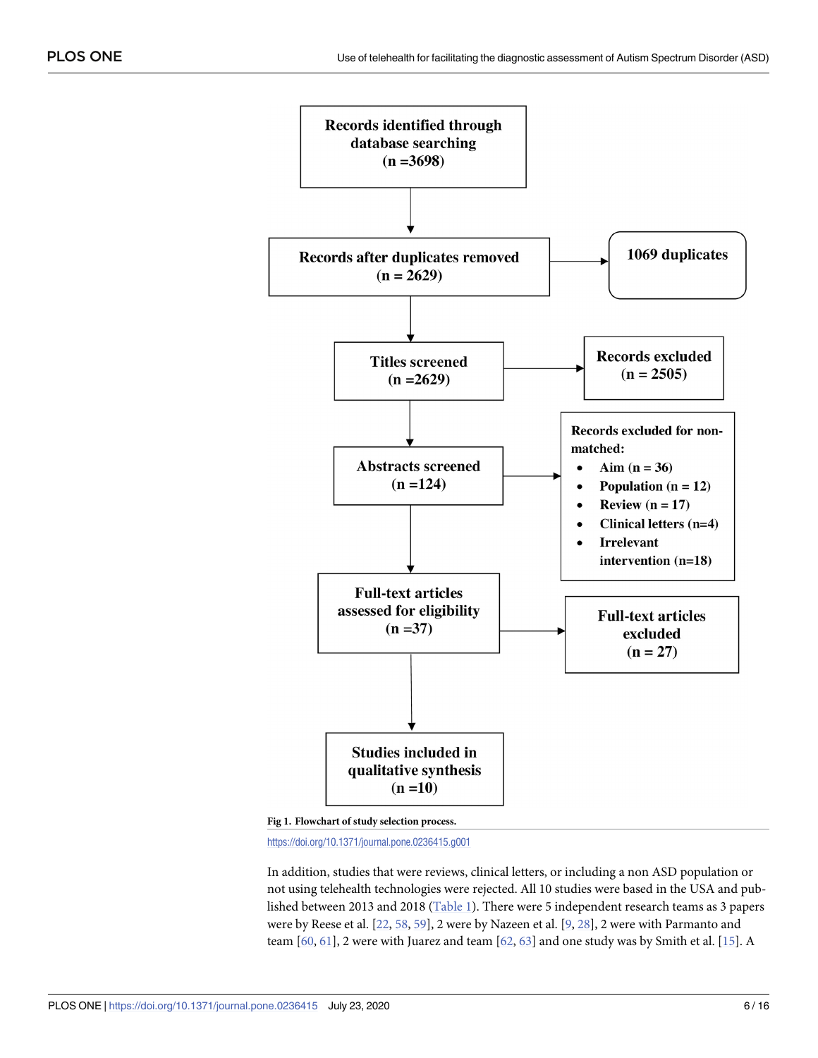<span id="page-5-0"></span>

**[Fig](#page-4-0) 1. Flowchart of study selection process.**

<https://doi.org/10.1371/journal.pone.0236415.g001>

In addition, studies that were reviews, clinical letters, or including a non ASD population or not using telehealth technologies were rejected. All 10 studies were based in the USA and published between 2013 and 2018 [\(Table](#page-6-0) 1). There were 5 independent research teams as 3 papers were by Reese et al. [[22](#page-13-0), [58](#page-15-0), [59](#page-15-0)], 2 were by Nazeen et al. [\[9,](#page-13-0) [28\]](#page-13-0), 2 were with Parmanto and team  $[60, 61]$  $[60, 61]$  $[60, 61]$ , 2 were with Juarez and team  $[62, 63]$  $[62, 63]$  $[62, 63]$  $[62, 63]$  $[62, 63]$  and one study was by Smith et al.  $[15]$  $[15]$  $[15]$ . A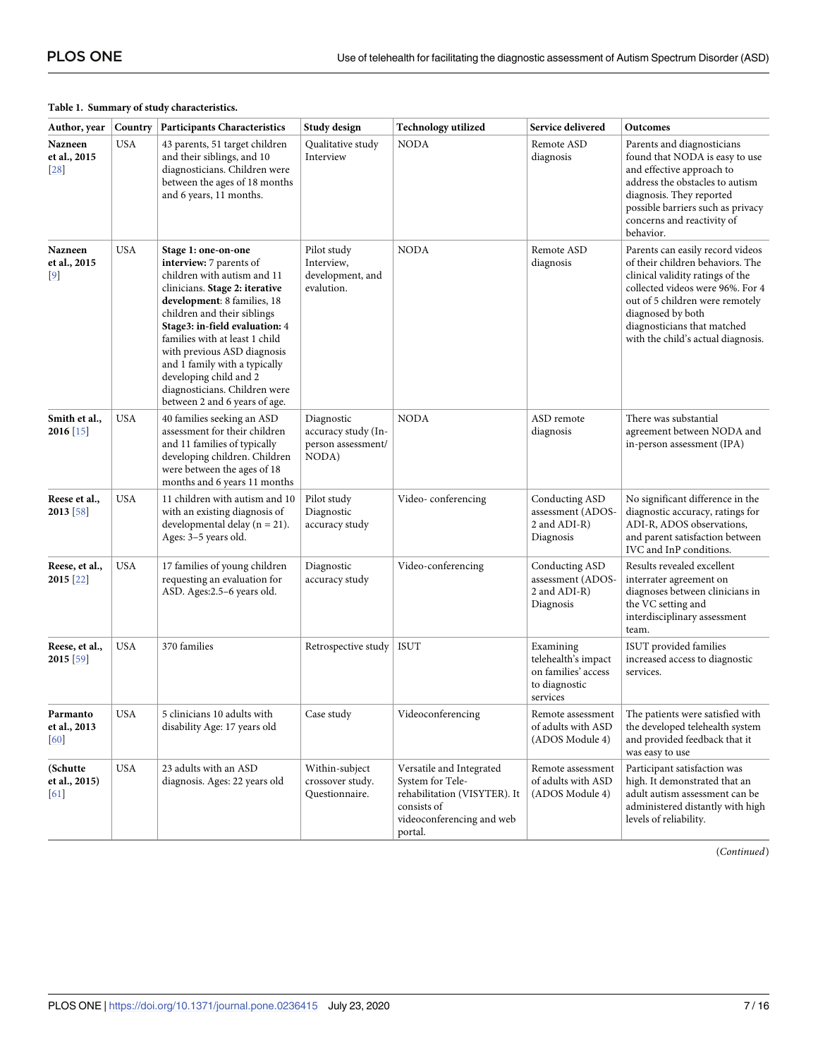#### <span id="page-6-0"></span>**[Table](#page-5-0) 1. Summary of study characteristics.**

| Author, year                                | Country    | <b>Participants Characteristics</b>                                                                                                                                                                                                                                                                                                                                                                           | Study design                                                     | <b>Technology utilized</b>                                                                                                          | Service delivered                                                                    | Outcomes                                                                                                                                                                                                                                                                  |
|---------------------------------------------|------------|---------------------------------------------------------------------------------------------------------------------------------------------------------------------------------------------------------------------------------------------------------------------------------------------------------------------------------------------------------------------------------------------------------------|------------------------------------------------------------------|-------------------------------------------------------------------------------------------------------------------------------------|--------------------------------------------------------------------------------------|---------------------------------------------------------------------------------------------------------------------------------------------------------------------------------------------------------------------------------------------------------------------------|
| Nazneen<br>et al., 2015<br>28               | <b>USA</b> | 43 parents, 51 target children<br>and their siblings, and 10<br>diagnosticians. Children were<br>between the ages of 18 months<br>and 6 years, 11 months.                                                                                                                                                                                                                                                     | Qualitative study<br>Interview                                   | <b>NODA</b>                                                                                                                         | Remote ASD<br>diagnosis                                                              | Parents and diagnosticians<br>found that NODA is easy to use<br>and effective approach to<br>address the obstacles to autism<br>diagnosis. They reported<br>possible barriers such as privacy<br>concerns and reactivity of<br>behavior.                                  |
| Nazneen<br>et al., 2015<br>$\left[9\right]$ | USA        | Stage 1: one-on-one<br>interview: 7 parents of<br>children with autism and 11<br>clinicians. Stage 2: iterative<br>development: 8 families, 18<br>children and their siblings<br>Stage3: in-field evaluation: 4<br>families with at least 1 child<br>with previous ASD diagnosis<br>and 1 family with a typically<br>developing child and 2<br>diagnosticians. Children were<br>between 2 and 6 years of age. | Pilot study<br>Interview,<br>development, and<br>evalution.      | <b>NODA</b>                                                                                                                         | Remote ASD<br>diagnosis                                                              | Parents can easily record videos<br>of their children behaviors. The<br>clinical validity ratings of the<br>collected videos were 96%. For 4<br>out of 5 children were remotely<br>diagnosed by both<br>diagnosticians that matched<br>with the child's actual diagnosis. |
| Smith et al.,<br>$2016$ [15]                | USA        | 40 families seeking an ASD<br>assessment for their children<br>and 11 families of typically<br>developing children. Children<br>were between the ages of 18<br>months and 6 years 11 months                                                                                                                                                                                                                   | Diagnostic<br>accuracy study (In-<br>person assessment/<br>NODA) | <b>NODA</b>                                                                                                                         | ASD remote<br>diagnosis                                                              | There was substantial<br>agreement between NODA and<br>in-person assessment (IPA)                                                                                                                                                                                         |
| Reese et al.,<br>2013 [58]                  | <b>USA</b> | 11 children with autism and 10<br>with an existing diagnosis of<br>developmental delay ( $n = 21$ ).<br>Ages: 3-5 years old.                                                                                                                                                                                                                                                                                  | Pilot study<br>Diagnostic<br>accuracy study                      | Video-conferencing                                                                                                                  | Conducting ASD<br>assessment (ADOS-<br>2 and ADI-R)<br>Diagnosis                     | No significant difference in the<br>diagnostic accuracy, ratings for<br>ADI-R, ADOS observations,<br>and parent satisfaction between<br>IVC and InP conditions.                                                                                                           |
| Reese, et al.,<br>2015 [22]                 | USA        | 17 families of young children<br>requesting an evaluation for<br>ASD. Ages:2.5-6 years old.                                                                                                                                                                                                                                                                                                                   | Diagnostic<br>accuracy study                                     | Video-conferencing                                                                                                                  | Conducting ASD<br>assessment (ADOS-<br>2 and ADI-R)<br>Diagnosis                     | Results revealed excellent<br>interrater agreement on<br>diagnoses between clinicians in<br>the VC setting and<br>interdisciplinary assessment<br>team.                                                                                                                   |
| Reese, et al.,<br>2015 [59]                 | USA        | 370 families                                                                                                                                                                                                                                                                                                                                                                                                  | Retrospective study                                              | ISUT                                                                                                                                | Examining<br>telehealth's impact<br>on families' access<br>to diagnostic<br>services | ISUT provided families<br>increased access to diagnostic<br>services.                                                                                                                                                                                                     |
| Parmanto<br>et al., 2013<br>60              | <b>USA</b> | 5 clinicians 10 adults with<br>disability Age: 17 years old                                                                                                                                                                                                                                                                                                                                                   | Case study                                                       | Videoconferencing                                                                                                                   | Remote assessment<br>of adults with ASD<br>(ADOS Module 4)                           | The patients were satisfied with<br>the developed telehealth system<br>and provided feedback that it<br>was easy to use                                                                                                                                                   |
| (Schutte<br>et al., 2015)<br>[61]           | <b>USA</b> | 23 adults with an ASD<br>diagnosis. Ages: 22 years old                                                                                                                                                                                                                                                                                                                                                        | Within-subject<br>crossover study.<br>Questionnaire.             | Versatile and Integrated<br>System for Tele-<br>rehabilitation (VISYTER). It<br>consists of<br>videoconferencing and web<br>portal. | Remote assessment<br>of adults with ASD<br>(ADOS Module 4)                           | Participant satisfaction was<br>high. It demonstrated that an<br>adult autism assessment can be<br>administered distantly with high<br>levels of reliability.                                                                                                             |

(*Continued*)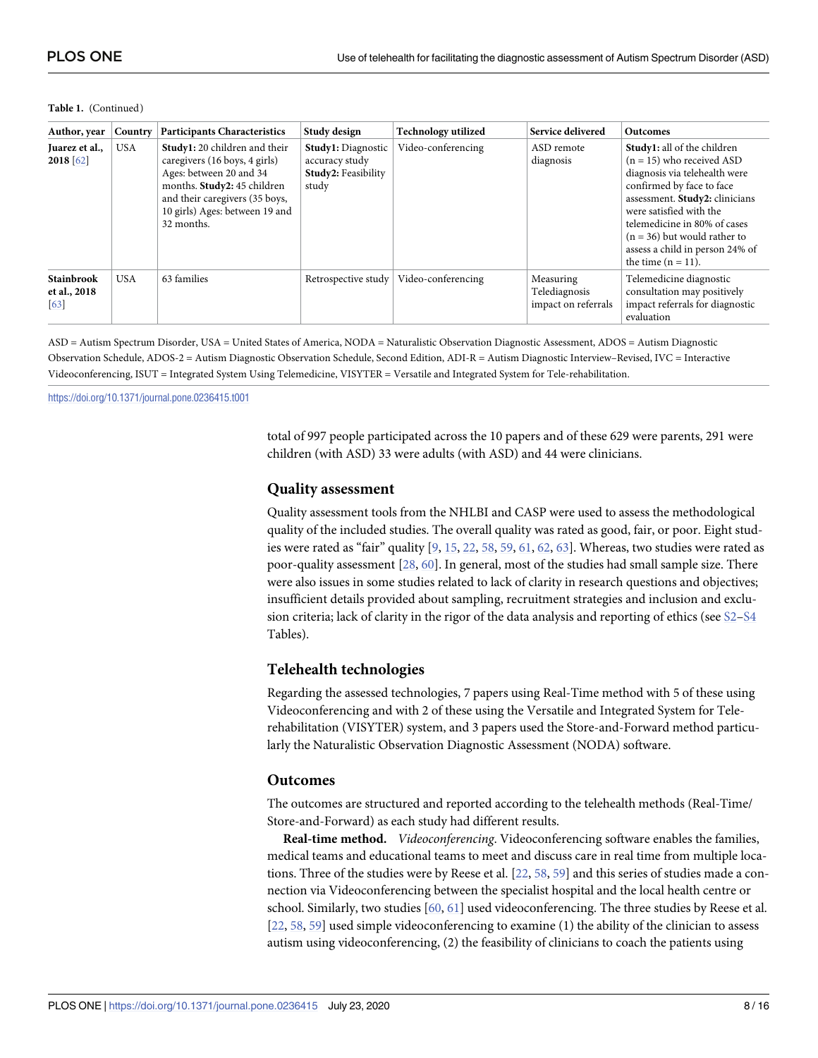| Author, year                                           | Country    | <b>Participants Characteristics</b>                                                                                                                                                                        | Study design                                                                       | Technology utilized | Service delivered                                 | <b>Outcomes</b>                                                                                                                                                                                                                                                                                                            |
|--------------------------------------------------------|------------|------------------------------------------------------------------------------------------------------------------------------------------------------------------------------------------------------------|------------------------------------------------------------------------------------|---------------------|---------------------------------------------------|----------------------------------------------------------------------------------------------------------------------------------------------------------------------------------------------------------------------------------------------------------------------------------------------------------------------------|
| Juarez et al.,<br>$2018$ [62]                          | <b>USA</b> | Study1: 20 children and their<br>caregivers (16 boys, 4 girls)<br>Ages: between 20 and 34<br>months. Study2: 45 children<br>and their caregivers (35 boys,<br>10 girls) Ages: between 19 and<br>32 months. | <b>Study1:</b> Diagnostic<br>accuracy study<br><b>Study2: Feasibility</b><br>study | Video-conferencing  | ASD remote<br>diagnosis                           | <b>Study1:</b> all of the children<br>$(n = 15)$ who received ASD<br>diagnosis via telehealth were<br>confirmed by face to face<br>assessment. Study2: clinicians<br>were satisfied with the<br>telemedicine in 80% of cases<br>$(n = 36)$ but would rather to<br>assess a child in person 24% of<br>the time $(n = 11)$ . |
| <b>Stainbrook</b><br>et al., 2018<br>$\left[63\right]$ | <b>USA</b> | 63 families                                                                                                                                                                                                | Retrospective study                                                                | Video-conferencing  | Measuring<br>Telediagnosis<br>impact on referrals | Telemedicine diagnostic<br>consultation may positively<br>impact referrals for diagnostic<br>evaluation                                                                                                                                                                                                                    |

#### **Table 1.** (Continued)

ASD = Autism Spectrum Disorder, USA = United States of America, NODA = Naturalistic Observation Diagnostic Assessment, ADOS = Autism Diagnostic Observation Schedule, ADOS-2 = Autism Diagnostic Observation Schedule, Second Edition, ADI-R = Autism Diagnostic Interview–Revised, IVC = Interactive Videoconferencing, ISUT = Integrated System Using Telemedicine, VISYTER = Versatile and Integrated System for Tele-rehabilitation.

<https://doi.org/10.1371/journal.pone.0236415.t001>

total of 997 people participated across the 10 papers and of these 629 were parents, 291 were children (with ASD) 33 were adults (with ASD) and 44 were clinicians.

#### **Quality assessment**

Quality assessment tools from the NHLBI and CASP were used to assess the methodological quality of the included studies. The overall quality was rated as good, fair, or poor. Eight studies were rated as "fair" quality [\[9](#page-13-0), [15](#page-13-0), [22](#page-13-0), [58](#page-15-0), [59](#page-15-0), [61](#page-15-0), [62,](#page-15-0) [63\]](#page-15-0). Whereas, two studies were rated as poor-quality assessment [[28](#page-13-0), [60](#page-15-0)]. In general, most of the studies had small sample size. There were also issues in some studies related to lack of clarity in research questions and objectives; insufficient details provided about sampling, recruitment strategies and inclusion and exclusion criteria; lack of clarity in the rigor of the data analysis and reporting of ethics (see S2-S4 Tables).

#### **Telehealth technologies**

Regarding the assessed technologies, 7 papers using Real-Time method with 5 of these using Videoconferencing and with 2 of these using the Versatile and Integrated System for Telerehabilitation (VISYTER) system, and 3 papers used the Store-and-Forward method particularly the Naturalistic Observation Diagnostic Assessment (NODA) software.

#### **Outcomes**

The outcomes are structured and reported according to the telehealth methods (Real-Time/ Store-and-Forward) as each study had different results.

**Real-time method.** *Videoconferencing*. Videoconferencing software enables the families, medical teams and educational teams to meet and discuss care in real time from multiple locations. Three of the studies were by Reese et al. [\[22,](#page-13-0) [58](#page-15-0), [59](#page-15-0)] and this series of studies made a connection via Videoconferencing between the specialist hospital and the local health centre or school. Similarly, two studies [[60](#page-15-0), [61](#page-15-0)] used videoconferencing. The three studies by Reese et al. [\[22,](#page-13-0) [58,](#page-15-0) [59\]](#page-15-0) used simple videoconferencing to examine (1) the ability of the clinician to assess autism using videoconferencing, (2) the feasibility of clinicians to coach the patients using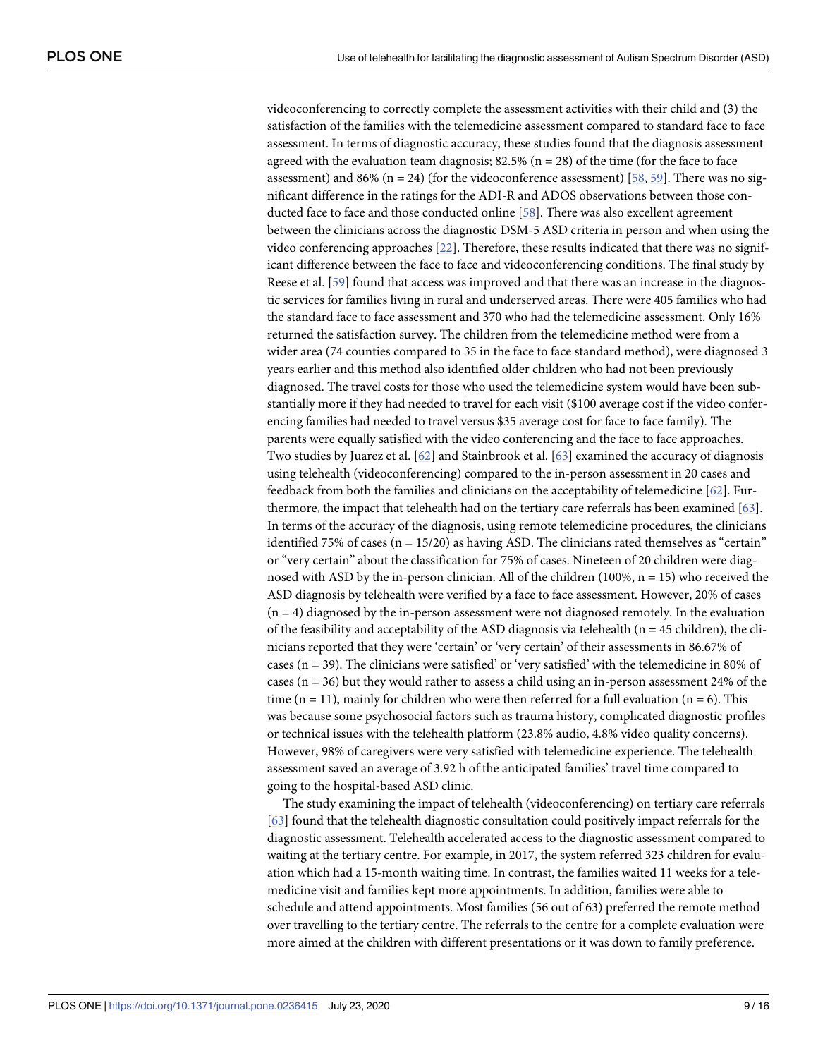videoconferencing to correctly complete the assessment activities with their child and (3) the satisfaction of the families with the telemedicine assessment compared to standard face to face assessment. In terms of diagnostic accuracy, these studies found that the diagnosis assessment agreed with the evaluation team diagnosis; 82.5% ( $n = 28$ ) of the time (for the face to face assessment) and 86% ( $n = 24$ ) (for the videoconference assessment) [\[58,](#page-15-0) [59](#page-15-0)]. There was no significant difference in the ratings for the ADI-R and ADOS observations between those conducted face to face and those conducted online [\[58\]](#page-15-0). There was also excellent agreement between the clinicians across the diagnostic DSM-5 ASD criteria in person and when using the video conferencing approaches [\[22\]](#page-13-0). Therefore, these results indicated that there was no significant difference between the face to face and videoconferencing conditions. The final study by Reese et al. [[59](#page-15-0)] found that access was improved and that there was an increase in the diagnostic services for families living in rural and underserved areas. There were 405 families who had the standard face to face assessment and 370 who had the telemedicine assessment. Only 16% returned the satisfaction survey. The children from the telemedicine method were from a wider area (74 counties compared to 35 in the face to face standard method), were diagnosed 3 years earlier and this method also identified older children who had not been previously diagnosed. The travel costs for those who used the telemedicine system would have been substantially more if they had needed to travel for each visit (\$100 average cost if the video conferencing families had needed to travel versus \$35 average cost for face to face family). The parents were equally satisfied with the video conferencing and the face to face approaches. Two studies by Juarez et al. [\[62\]](#page-15-0) and Stainbrook et al. [[63](#page-15-0)] examined the accuracy of diagnosis using telehealth (videoconferencing) compared to the in-person assessment in 20 cases and feedback from both the families and clinicians on the acceptability of telemedicine [[62](#page-15-0)]. Furthermore, the impact that telehealth had on the tertiary care referrals has been examined [[63](#page-15-0)]. In terms of the accuracy of the diagnosis, using remote telemedicine procedures, the clinicians identified 75% of cases ( $n = 15/20$ ) as having ASD. The clinicians rated themselves as "certain" or "very certain" about the classification for 75% of cases. Nineteen of 20 children were diagnosed with ASD by the in-person clinician. All of the children (100%,  $n = 15$ ) who received the ASD diagnosis by telehealth were verified by a face to face assessment. However, 20% of cases  $(n = 4)$  diagnosed by the in-person assessment were not diagnosed remotely. In the evaluation of the feasibility and acceptability of the ASD diagnosis via telehealth ( $n = 45$  children), the clinicians reported that they were 'certain' or 'very certain' of their assessments in 86.67% of cases (n = 39). The clinicians were satisfied' or 'very satisfied' with the telemedicine in 80% of cases (n = 36) but they would rather to assess a child using an in-person assessment 24% of the time ( $n = 11$ ), mainly for children who were then referred for a full evaluation ( $n = 6$ ). This was because some psychosocial factors such as trauma history, complicated diagnostic profiles or technical issues with the telehealth platform (23.8% audio, 4.8% video quality concerns). However, 98% of caregivers were very satisfied with telemedicine experience. The telehealth assessment saved an average of 3.92 h of the anticipated families' travel time compared to going to the hospital-based ASD clinic.

The study examining the impact of telehealth (videoconferencing) on tertiary care referrals [\[63\]](#page-15-0) found that the telehealth diagnostic consultation could positively impact referrals for the diagnostic assessment. Telehealth accelerated access to the diagnostic assessment compared to waiting at the tertiary centre. For example, in 2017, the system referred 323 children for evaluation which had a 15-month waiting time. In contrast, the families waited 11 weeks for a telemedicine visit and families kept more appointments. In addition, families were able to schedule and attend appointments. Most families (56 out of 63) preferred the remote method over travelling to the tertiary centre. The referrals to the centre for a complete evaluation were more aimed at the children with different presentations or it was down to family preference.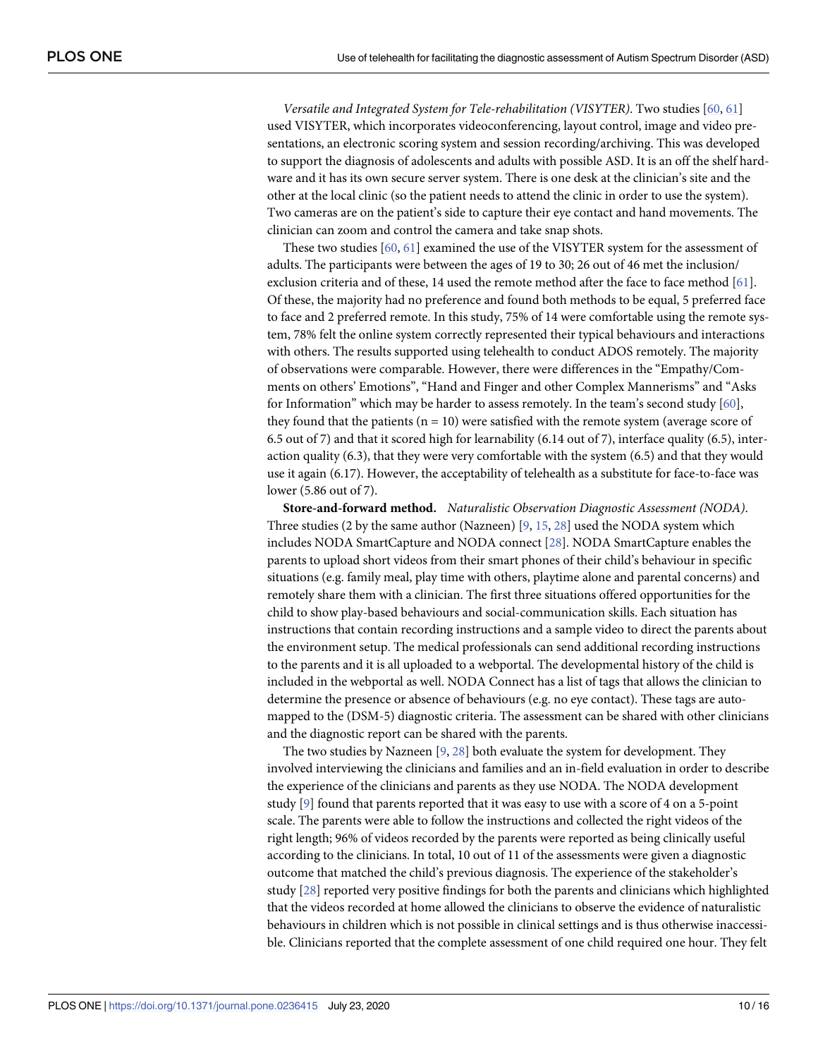*Versatile and Integrated System for Tele-rehabilitation (VISYTER)*. Two studies [[60,](#page-15-0) [61](#page-15-0)] used VISYTER, which incorporates videoconferencing, layout control, image and video presentations, an electronic scoring system and session recording/archiving. This was developed to support the diagnosis of adolescents and adults with possible ASD. It is an off the shelf hardware and it has its own secure server system. There is one desk at the clinician's site and the other at the local clinic (so the patient needs to attend the clinic in order to use the system). Two cameras are on the patient's side to capture their eye contact and hand movements. The clinician can zoom and control the camera and take snap shots.

These two studies [\[60,](#page-15-0) [61\]](#page-15-0) examined the use of the VISYTER system for the assessment of adults. The participants were between the ages of 19 to 30; 26 out of 46 met the inclusion/ exclusion criteria and of these, 14 used the remote method after the face to face method [[61\]](#page-15-0). Of these, the majority had no preference and found both methods to be equal, 5 preferred face to face and 2 preferred remote. In this study, 75% of 14 were comfortable using the remote system, 78% felt the online system correctly represented their typical behaviours and interactions with others. The results supported using telehealth to conduct ADOS remotely. The majority of observations were comparable. However, there were differences in the "Empathy/Comments on others' Emotions", "Hand and Finger and other Complex Mannerisms" and "Asks for Information" which may be harder to assess remotely. In the team's second study  $[60]$  $[60]$  $[60]$ , they found that the patients ( $n = 10$ ) were satisfied with the remote system (average score of 6.5 out of 7) and that it scored high for learnability (6.14 out of 7), interface quality (6.5), interaction quality (6.3), that they were very comfortable with the system (6.5) and that they would use it again (6.17). However, the acceptability of telehealth as a substitute for face-to-face was lower (5.86 out of 7).

**Store-and-forward method.** *Naturalistic Observation Diagnostic Assessment (NODA)*. Three studies (2 by the same author (Nazneen) [[9](#page-13-0), [15](#page-13-0), [28](#page-13-0)] used the NODA system which includes NODA SmartCapture and NODA connect [\[28\]](#page-13-0). NODA SmartCapture enables the parents to upload short videos from their smart phones of their child's behaviour in specific situations (e.g. family meal, play time with others, playtime alone and parental concerns) and remotely share them with a clinician. The first three situations offered opportunities for the child to show play-based behaviours and social-communication skills. Each situation has instructions that contain recording instructions and a sample video to direct the parents about the environment setup. The medical professionals can send additional recording instructions to the parents and it is all uploaded to a webportal. The developmental history of the child is included in the webportal as well. NODA Connect has a list of tags that allows the clinician to determine the presence or absence of behaviours (e.g. no eye contact). These tags are automapped to the (DSM-5) diagnostic criteria. The assessment can be shared with other clinicians and the diagnostic report can be shared with the parents.

The two studies by Nazneen [\[9](#page-13-0), [28](#page-13-0)] both evaluate the system for development. They involved interviewing the clinicians and families and an in-field evaluation in order to describe the experience of the clinicians and parents as they use NODA. The NODA development study [\[9](#page-13-0)] found that parents reported that it was easy to use with a score of 4 on a 5-point scale. The parents were able to follow the instructions and collected the right videos of the right length; 96% of videos recorded by the parents were reported as being clinically useful according to the clinicians. In total, 10 out of 11 of the assessments were given a diagnostic outcome that matched the child's previous diagnosis. The experience of the stakeholder's study [\[28\]](#page-13-0) reported very positive findings for both the parents and clinicians which highlighted that the videos recorded at home allowed the clinicians to observe the evidence of naturalistic behaviours in children which is not possible in clinical settings and is thus otherwise inaccessible. Clinicians reported that the complete assessment of one child required one hour. They felt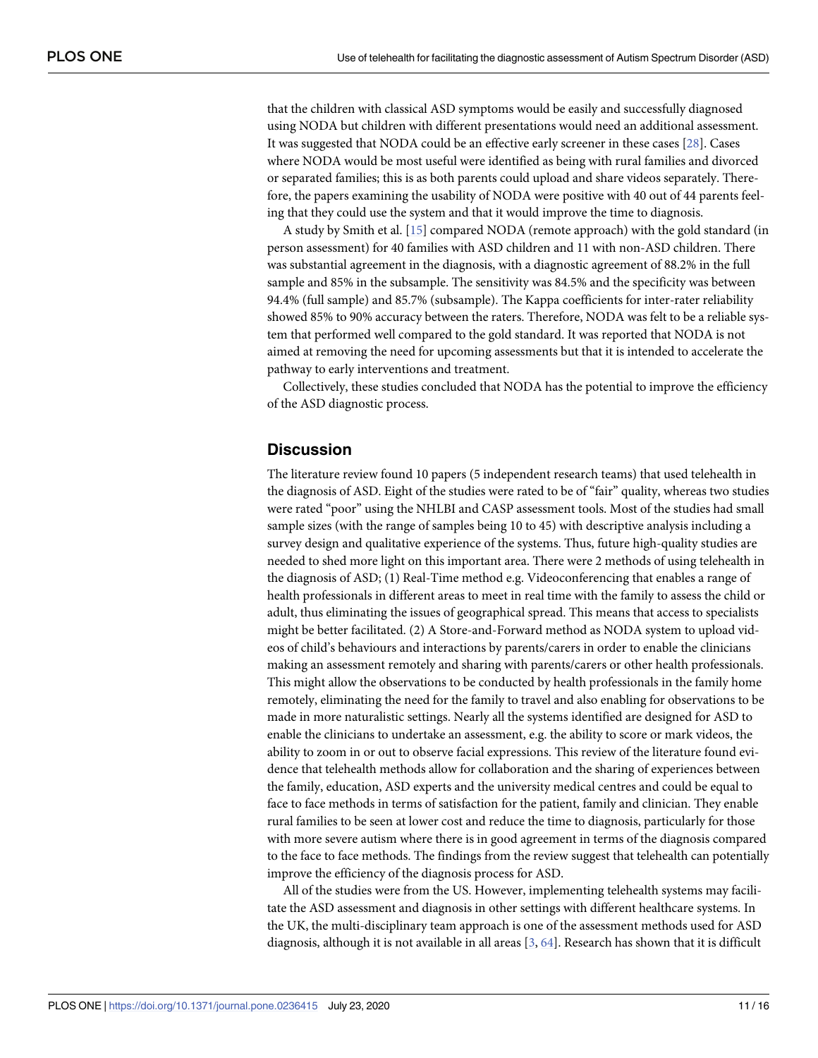<span id="page-10-0"></span>that the children with classical ASD symptoms would be easily and successfully diagnosed using NODA but children with different presentations would need an additional assessment. It was suggested that NODA could be an effective early screener in these cases [\[28\]](#page-13-0). Cases where NODA would be most useful were identified as being with rural families and divorced or separated families; this is as both parents could upload and share videos separately. Therefore, the papers examining the usability of NODA were positive with 40 out of 44 parents feeling that they could use the system and that it would improve the time to diagnosis.

A study by Smith et al. [[15](#page-13-0)] compared NODA (remote approach) with the gold standard (in person assessment) for 40 families with ASD children and 11 with non-ASD children. There was substantial agreement in the diagnosis, with a diagnostic agreement of 88.2% in the full sample and 85% in the subsample. The sensitivity was 84.5% and the specificity was between 94.4% (full sample) and 85.7% (subsample). The Kappa coefficients for inter-rater reliability showed 85% to 90% accuracy between the raters. Therefore, NODA was felt to be a reliable system that performed well compared to the gold standard. It was reported that NODA is not aimed at removing the need for upcoming assessments but that it is intended to accelerate the pathway to early interventions and treatment.

Collectively, these studies concluded that NODA has the potential to improve the efficiency of the ASD diagnostic process.

### **Discussion**

The literature review found 10 papers (5 independent research teams) that used telehealth in the diagnosis of ASD. Eight of the studies were rated to be of "fair" quality, whereas two studies were rated "poor" using the NHLBI and CASP assessment tools. Most of the studies had small sample sizes (with the range of samples being 10 to 45) with descriptive analysis including a survey design and qualitative experience of the systems. Thus, future high-quality studies are needed to shed more light on this important area. There were 2 methods of using telehealth in the diagnosis of ASD; (1) Real-Time method e.g. Videoconferencing that enables a range of health professionals in different areas to meet in real time with the family to assess the child or adult, thus eliminating the issues of geographical spread. This means that access to specialists might be better facilitated. (2) A Store-and-Forward method as NODA system to upload videos of child's behaviours and interactions by parents/carers in order to enable the clinicians making an assessment remotely and sharing with parents/carers or other health professionals. This might allow the observations to be conducted by health professionals in the family home remotely, eliminating the need for the family to travel and also enabling for observations to be made in more naturalistic settings. Nearly all the systems identified are designed for ASD to enable the clinicians to undertake an assessment, e.g. the ability to score or mark videos, the ability to zoom in or out to observe facial expressions. This review of the literature found evidence that telehealth methods allow for collaboration and the sharing of experiences between the family, education, ASD experts and the university medical centres and could be equal to face to face methods in terms of satisfaction for the patient, family and clinician. They enable rural families to be seen at lower cost and reduce the time to diagnosis, particularly for those with more severe autism where there is in good agreement in terms of the diagnosis compared to the face to face methods. The findings from the review suggest that telehealth can potentially improve the efficiency of the diagnosis process for ASD.

All of the studies were from the US. However, implementing telehealth systems may facilitate the ASD assessment and diagnosis in other settings with different healthcare systems. In the UK, the multi-disciplinary team approach is one of the assessment methods used for ASD diagnosis, although it is not available in all areas [[3,](#page-12-0) [64](#page-15-0)]. Research has shown that it is difficult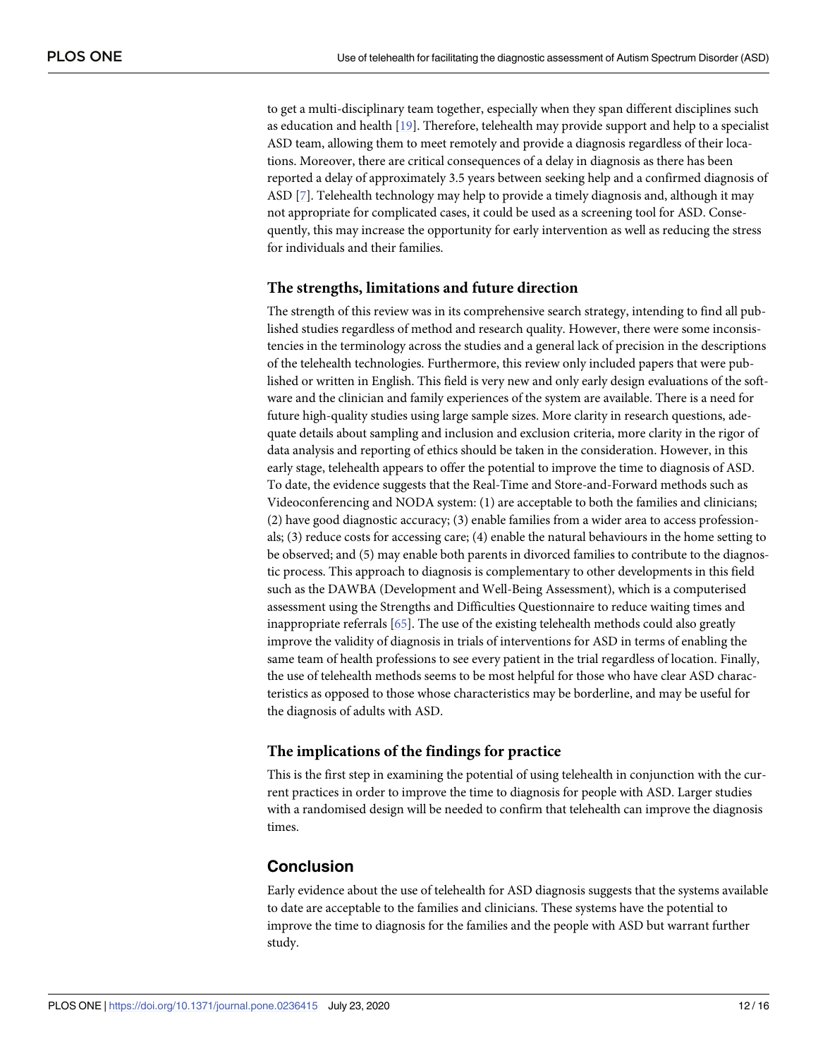<span id="page-11-0"></span>to get a multi-disciplinary team together, especially when they span different disciplines such as education and health [\[19\]](#page-13-0). Therefore, telehealth may provide support and help to a specialist ASD team, allowing them to meet remotely and provide a diagnosis regardless of their locations. Moreover, there are critical consequences of a delay in diagnosis as there has been reported a delay of approximately 3.5 years between seeking help and a confirmed diagnosis of ASD [[7](#page-12-0)]. Telehealth technology may help to provide a timely diagnosis and, although it may not appropriate for complicated cases, it could be used as a screening tool for ASD. Consequently, this may increase the opportunity for early intervention as well as reducing the stress for individuals and their families.

#### **The strengths, limitations and future direction**

The strength of this review was in its comprehensive search strategy, intending to find all published studies regardless of method and research quality. However, there were some inconsistencies in the terminology across the studies and a general lack of precision in the descriptions of the telehealth technologies. Furthermore, this review only included papers that were published or written in English. This field is very new and only early design evaluations of the software and the clinician and family experiences of the system are available. There is a need for future high-quality studies using large sample sizes. More clarity in research questions, adequate details about sampling and inclusion and exclusion criteria, more clarity in the rigor of data analysis and reporting of ethics should be taken in the consideration. However, in this early stage, telehealth appears to offer the potential to improve the time to diagnosis of ASD. To date, the evidence suggests that the Real-Time and Store-and-Forward methods such as Videoconferencing and NODA system: (1) are acceptable to both the families and clinicians; (2) have good diagnostic accuracy; (3) enable families from a wider area to access professionals; (3) reduce costs for accessing care; (4) enable the natural behaviours in the home setting to be observed; and (5) may enable both parents in divorced families to contribute to the diagnostic process. This approach to diagnosis is complementary to other developments in this field such as the DAWBA (Development and Well-Being Assessment), which is a computerised assessment using the Strengths and Difficulties Questionnaire to reduce waiting times and inappropriate referrals [\[65\]](#page-15-0). The use of the existing telehealth methods could also greatly improve the validity of diagnosis in trials of interventions for ASD in terms of enabling the same team of health professions to see every patient in the trial regardless of location. Finally, the use of telehealth methods seems to be most helpful for those who have clear ASD characteristics as opposed to those whose characteristics may be borderline, and may be useful for the diagnosis of adults with ASD.

#### **The implications of the findings for practice**

This is the first step in examining the potential of using telehealth in conjunction with the current practices in order to improve the time to diagnosis for people with ASD. Larger studies with a randomised design will be needed to confirm that telehealth can improve the diagnosis times.

#### **Conclusion**

Early evidence about the use of telehealth for ASD diagnosis suggests that the systems available to date are acceptable to the families and clinicians. These systems have the potential to improve the time to diagnosis for the families and the people with ASD but warrant further study.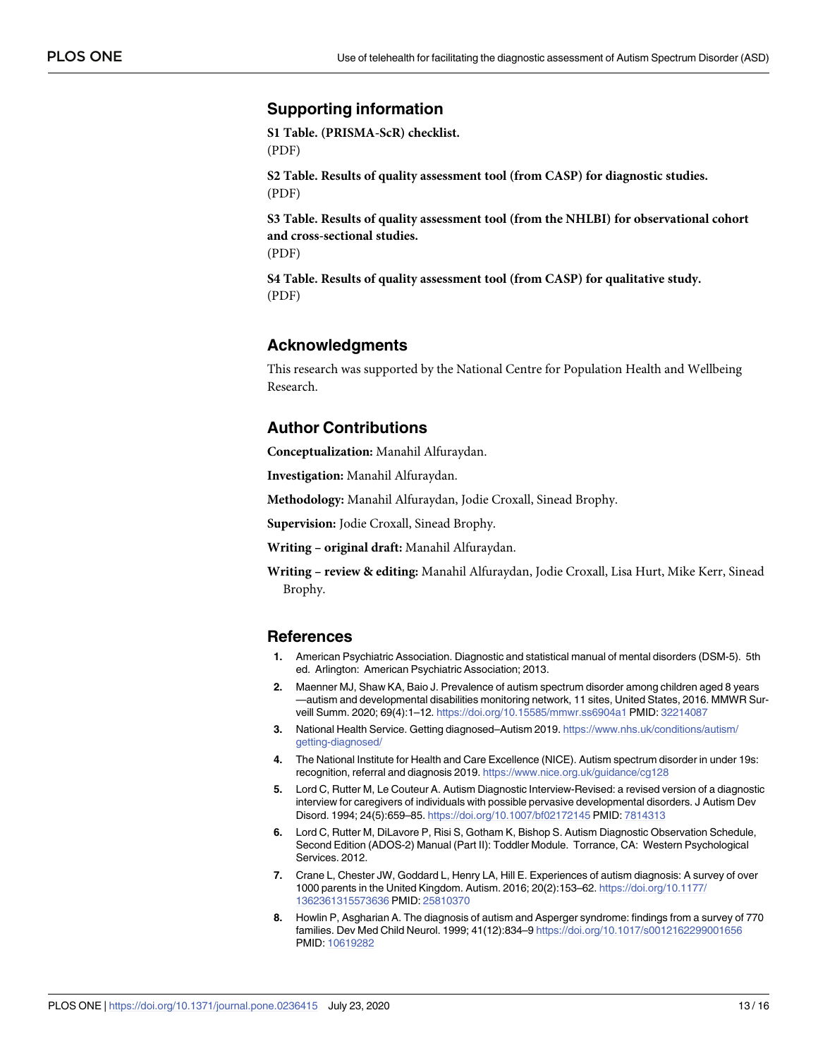## <span id="page-12-0"></span>**Supporting information**

**S1 [Table.](http://www.plosone.org/article/fetchSingleRepresentation.action?uri=info:doi/10.1371/journal.pone.0236415.s001) (PRISMA-ScR) checklist.** (PDF)

**S2 [Table.](http://www.plosone.org/article/fetchSingleRepresentation.action?uri=info:doi/10.1371/journal.pone.0236415.s002) Results of quality assessment tool (from CASP) for diagnostic studies.** (PDF)

**S3 [Table.](http://www.plosone.org/article/fetchSingleRepresentation.action?uri=info:doi/10.1371/journal.pone.0236415.s003) Results of quality assessment tool (from the NHLBI) for observational cohort and cross-sectional studies.** (PDF)

**S4 [Table.](http://www.plosone.org/article/fetchSingleRepresentation.action?uri=info:doi/10.1371/journal.pone.0236415.s004) Results of quality assessment tool (from CASP) for qualitative study.** (PDF)

## **Acknowledgments**

This research was supported by the National Centre for Population Health and Wellbeing Research.

## **Author Contributions**

**Conceptualization:** Manahil Alfuraydan.

**Investigation:** Manahil Alfuraydan.

**Methodology:** Manahil Alfuraydan, Jodie Croxall, Sinead Brophy.

**Supervision:** Jodie Croxall, Sinead Brophy.

**Writing – original draft:** Manahil Alfuraydan.

**Writing – review & editing:** Manahil Alfuraydan, Jodie Croxall, Lisa Hurt, Mike Kerr, Sinead Brophy.

#### **References**

- **[1](#page-0-0).** American Psychiatric Association. Diagnostic and statistical manual of mental disorders (DSM-5). 5th ed. Arlington: American Psychiatric Association; 2013.
- **[2](#page-1-0).** Maenner MJ, Shaw KA, Baio J. Prevalence of autism spectrum disorder among children aged 8 years —autism and developmental disabilities monitoring network, 11 sites, United States, 2016. MMWR Surveill Summ. 2020; 69(4):1–12. <https://doi.org/10.15585/mmwr.ss6904a1> PMID: [32214087](http://www.ncbi.nlm.nih.gov/pubmed/32214087)
- **[3](#page-1-0).** National Health Service. Getting diagnosed–Autism 2019. [https://www.nhs.uk/conditions/autism/](https://www.nhs.uk/conditions/autism/getting-diagnosed/) [getting-diagnosed/](https://www.nhs.uk/conditions/autism/getting-diagnosed/)
- **[4](#page-1-0).** The National Institute for Health and Care Excellence (NICE). Autism spectrum disorder in under 19s: recognition, referral and diagnosis 2019. <https://www.nice.org.uk/guidance/cg128>
- **[5](#page-1-0).** Lord C, Rutter M, Le Couteur A. Autism Diagnostic Interview-Revised: a revised version of a diagnostic interview for caregivers of individuals with possible pervasive developmental disorders. J Autism Dev Disord. 1994; 24(5):659–85. <https://doi.org/10.1007/bf02172145> PMID: [7814313](http://www.ncbi.nlm.nih.gov/pubmed/7814313)
- **[6](#page-1-0).** Lord C, Rutter M, DiLavore P, Risi S, Gotham K, Bishop S. Autism Diagnostic Observation Schedule, Second Edition (ADOS-2) Manual (Part II): Toddler Module. Torrance, CA: Western Psychological Services. 2012.
- **[7](#page-1-0).** Crane L, Chester JW, Goddard L, Henry LA, Hill E. Experiences of autism diagnosis: A survey of over 1000 parents in the United Kingdom. Autism. 2016; 20(2):153–62. [https://doi.org/10.1177/](https://doi.org/10.1177/1362361315573636) [1362361315573636](https://doi.org/10.1177/1362361315573636) PMID: [25810370](http://www.ncbi.nlm.nih.gov/pubmed/25810370)
- **8.** Howlin P, Asgharian A. The diagnosis of autism and Asperger syndrome: findings from a survey of 770 families. Dev Med Child Neurol. 1999; 41(12):834–9 <https://doi.org/10.1017/s0012162299001656> PMID: [10619282](http://www.ncbi.nlm.nih.gov/pubmed/10619282)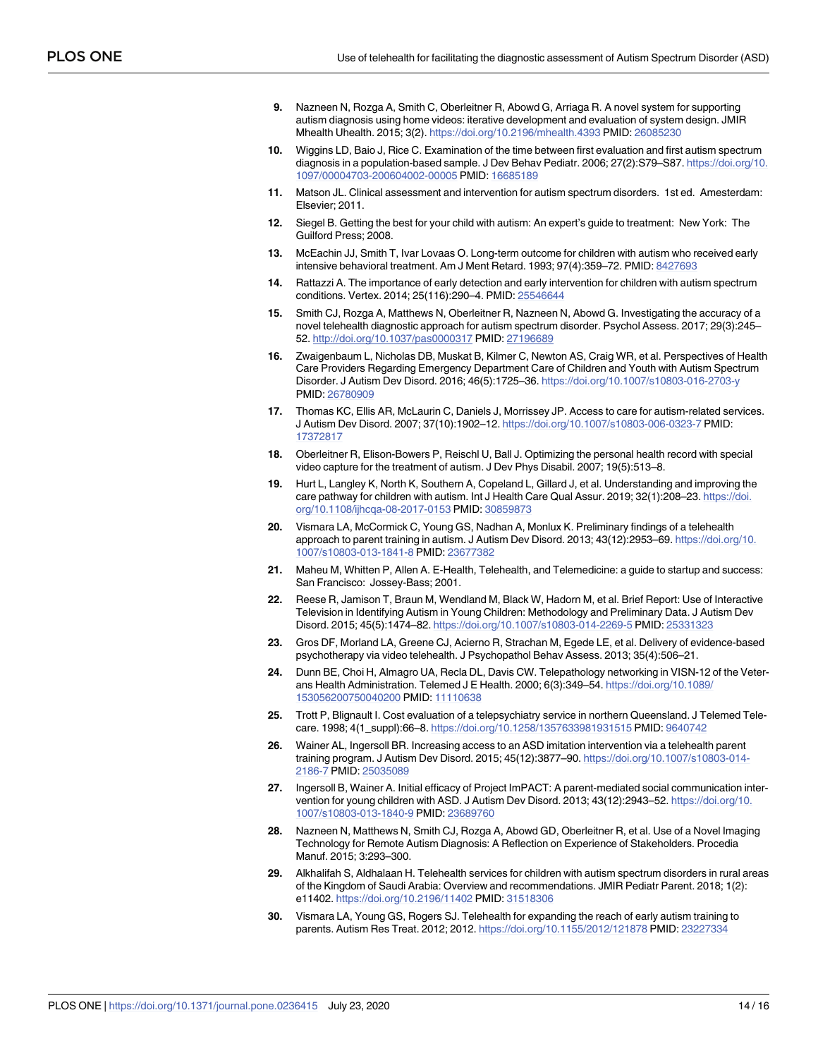- <span id="page-13-0"></span>**[9](#page-4-0).** Nazneen N, Rozga A, Smith C, Oberleitner R, Abowd G, Arriaga R. A novel system for supporting autism diagnosis using home videos: iterative development and evaluation of system design. JMIR Mhealth Uhealth. 2015; 3(2). <https://doi.org/10.2196/mhealth.4393> PMID: [26085230](http://www.ncbi.nlm.nih.gov/pubmed/26085230)
- **[10](#page-1-0).** Wiggins LD, Baio J, Rice C. Examination of the time between first evaluation and first autism spectrum diagnosis in a population-based sample. J Dev Behav Pediatr. 2006; 27(2):S79–S87. [https://doi.org/10.](https://doi.org/10.1097/00004703-200604002-00005) [1097/00004703-200604002-00005](https://doi.org/10.1097/00004703-200604002-00005) PMID: [16685189](http://www.ncbi.nlm.nih.gov/pubmed/16685189)
- **[11](#page-1-0).** Matson JL. Clinical assessment and intervention for autism spectrum disorders. 1st ed. Amesterdam: Elsevier; 2011.
- **12.** Siegel B. Getting the best for your child with autism: An expert's guide to treatment: New York: The Guilford Press; 2008.
- **13.** McEachin JJ, Smith T, Ivar Lovaas O. Long-term outcome for children with autism who received early intensive behavioral treatment. Am J Ment Retard. 1993; 97(4):359–72. PMID: [8427693](http://www.ncbi.nlm.nih.gov/pubmed/8427693)
- **14.** Rattazzi A. The importance of early detection and early intervention for children with autism spectrum conditions. Vertex. 2014; 25(116):290–4. PMID: [25546644](http://www.ncbi.nlm.nih.gov/pubmed/25546644)
- **[15](#page-1-0).** Smith CJ, Rozga A, Matthews N, Oberleitner R, Nazneen N, Abowd G. Investigating the accuracy of a novel telehealth diagnostic approach for autism spectrum disorder. Psychol Assess. 2017; 29(3):245– 52. <http://doi.org/10.1037/pas0000317> PMID: [27196689](http://www.ncbi.nlm.nih.gov/pubmed/27196689)
- **[16](#page-1-0).** Zwaigenbaum L, Nicholas DB, Muskat B, Kilmer C, Newton AS, Craig WR, et al. Perspectives of Health Care Providers Regarding Emergency Department Care of Children and Youth with Autism Spectrum Disorder. J Autism Dev Disord. 2016; 46(5):1725–36. <https://doi.org/10.1007/s10803-016-2703-y> PMID: [26780909](http://www.ncbi.nlm.nih.gov/pubmed/26780909)
- **[17](#page-1-0).** Thomas KC, Ellis AR, McLaurin C, Daniels J, Morrissey JP. Access to care for autism-related services. J Autism Dev Disord. 2007; 37(10):1902–12. <https://doi.org/10.1007/s10803-006-0323-7> PMID: [17372817](http://www.ncbi.nlm.nih.gov/pubmed/17372817)
- **[18](#page-1-0).** Oberleitner R, Elison-Bowers P, Reischl U, Ball J. Optimizing the personal health record with special video capture for the treatment of autism. J Dev Phys Disabil. 2007; 19(5):513–8.
- **[19](#page-1-0).** Hurt L, Langley K, North K, Southern A, Copeland L, Gillard J, et al. Understanding and improving the care pathway for children with autism. Int J Health Care Qual Assur. 2019; 32(1):208–23. [https://doi.](https://doi.org/10.1108/ijhcqa-08-2017-0153) [org/10.1108/ijhcqa-08-2017-0153](https://doi.org/10.1108/ijhcqa-08-2017-0153) PMID: [30859873](http://www.ncbi.nlm.nih.gov/pubmed/30859873)
- **[20](#page-1-0).** Vismara LA, McCormick C, Young GS, Nadhan A, Monlux K. Preliminary findings of a telehealth approach to parent training in autism. J Autism Dev Disord. 2013; 43(12):2953–69. [https://doi.org/10.](https://doi.org/10.1007/s10803-013-1841-8) [1007/s10803-013-1841-8](https://doi.org/10.1007/s10803-013-1841-8) PMID: [23677382](http://www.ncbi.nlm.nih.gov/pubmed/23677382)
- **[21](#page-1-0).** Maheu M, Whitten P, Allen A. E-Health, Telehealth, and Telemedicine: a guide to startup and success: San Francisco: Jossey-Bass; 2001.
- **[22](#page-1-0).** Reese R, Jamison T, Braun M, Wendland M, Black W, Hadorn M, et al. Brief Report: Use of Interactive Television in Identifying Autism in Young Children: Methodology and Preliminary Data. J Autism Dev Disord. 2015; 45(5):1474–82. <https://doi.org/10.1007/s10803-014-2269-5> PMID: [25331323](http://www.ncbi.nlm.nih.gov/pubmed/25331323)
- **[23](#page-1-0).** Gros DF, Morland LA, Greene CJ, Acierno R, Strachan M, Egede LE, et al. Delivery of evidence-based psychotherapy via video telehealth. J Psychopathol Behav Assess. 2013; 35(4):506–21.
- **[24](#page-1-0).** Dunn BE, Choi H, Almagro UA, Recla DL, Davis CW. Telepathology networking in VISN-12 of the Veterans Health Administration. Telemed J E Health. 2000; 6(3):349–54. [https://doi.org/10.1089/](https://doi.org/10.1089/153056200750040200) [153056200750040200](https://doi.org/10.1089/153056200750040200) PMID: [11110638](http://www.ncbi.nlm.nih.gov/pubmed/11110638)
- **[25](#page-1-0).** Trott P, Blignault I. Cost evaluation of a telepsychiatry service in northern Queensland. J Telemed Telecare. 1998; 4(1\_suppl):66–8. <https://doi.org/10.1258/1357633981931515> PMID: [9640742](http://www.ncbi.nlm.nih.gov/pubmed/9640742)
- **[26](#page-1-0).** Wainer AL, Ingersoll BR. Increasing access to an ASD imitation intervention via a telehealth parent training program. J Autism Dev Disord. 2015; 45(12):3877–90. [https://doi.org/10.1007/s10803-014-](https://doi.org/10.1007/s10803-014-2186-7) [2186-7](https://doi.org/10.1007/s10803-014-2186-7) PMID: [25035089](http://www.ncbi.nlm.nih.gov/pubmed/25035089)
- **[27](#page-1-0).** Ingersoll B, Wainer A. Initial efficacy of Project ImPACT: A parent-mediated social communication intervention for young children with ASD. J Autism Dev Disord. 2013; 43(12):2943–52. [https://doi.org/10.](https://doi.org/10.1007/s10803-013-1840-9) [1007/s10803-013-1840-9](https://doi.org/10.1007/s10803-013-1840-9) PMID: [23689760](http://www.ncbi.nlm.nih.gov/pubmed/23689760)
- **[28](#page-1-0).** Nazneen N, Matthews N, Smith CJ, Rozga A, Abowd GD, Oberleitner R, et al. Use of a Novel Imaging Technology for Remote Autism Diagnosis: A Reflection on Experience of Stakeholders. Procedia Manuf. 2015; 3:293–300.
- **[29](#page-1-0).** Alkhalifah S, Aldhalaan H. Telehealth services for children with autism spectrum disorders in rural areas of the Kingdom of Saudi Arabia: Overview and recommendations. JMIR Pediatr Parent. 2018; 1(2): e11402. <https://doi.org/10.2196/11402> PMID: [31518306](http://www.ncbi.nlm.nih.gov/pubmed/31518306)
- **[30](#page-1-0).** Vismara LA, Young GS, Rogers SJ. Telehealth for expanding the reach of early autism training to parents. Autism Res Treat. 2012; 2012. <https://doi.org/10.1155/2012/121878> PMID: [23227334](http://www.ncbi.nlm.nih.gov/pubmed/23227334)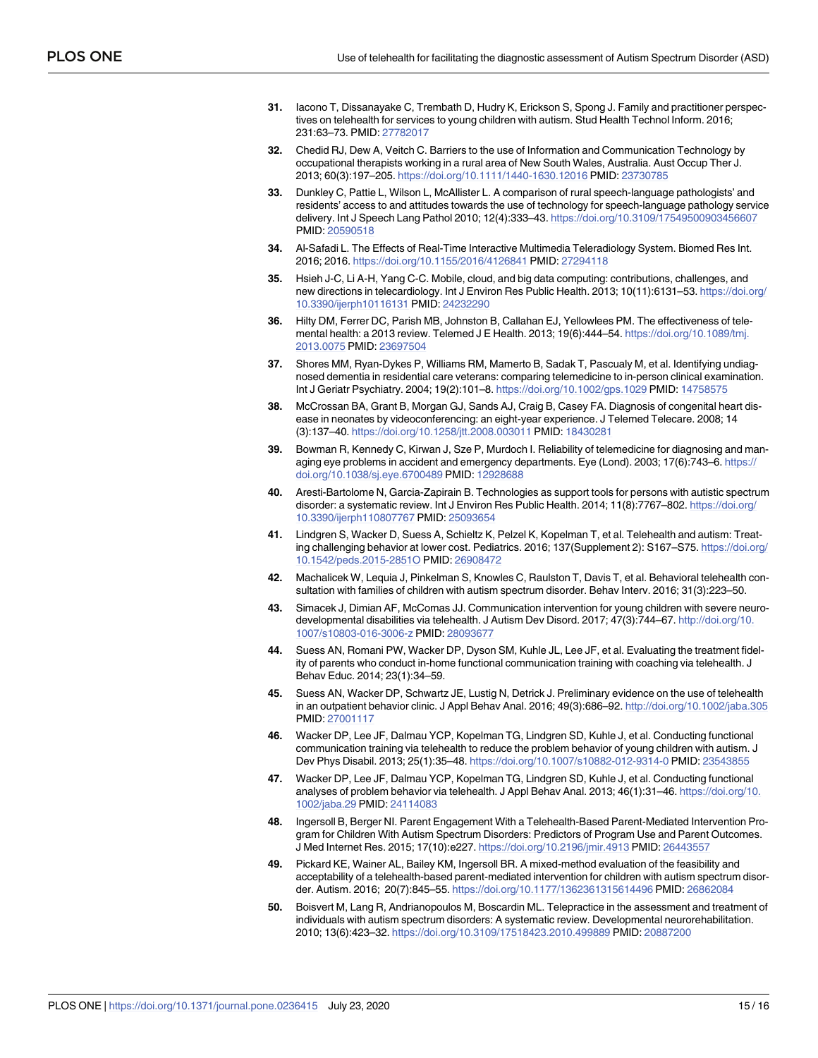- <span id="page-14-0"></span>**[31](#page-2-0).** Iacono T, Dissanayake C, Trembath D, Hudry K, Erickson S, Spong J. Family and practitioner perspectives on telehealth for services to young children with autism. Stud Health Technol Inform. 2016; 231:63–73. PMID: [27782017](http://www.ncbi.nlm.nih.gov/pubmed/27782017)
- **[32](#page-2-0).** Chedid RJ, Dew A, Veitch C. Barriers to the use of Information and Communication Technology by occupational therapists working in a rural area of New South Wales, Australia. Aust Occup Ther J. 2013; 60(3):197–205. <https://doi.org/10.1111/1440-1630.12016> PMID: [23730785](http://www.ncbi.nlm.nih.gov/pubmed/23730785)
- **[33](#page-2-0).** Dunkley C, Pattie L, Wilson L, McAllister L. A comparison of rural speech-language pathologists' and residents' access to and attitudes towards the use of technology for speech-language pathology service delivery. Int J Speech Lang Pathol 2010; 12(4):333–43. <https://doi.org/10.3109/17549500903456607> PMID: [20590518](http://www.ncbi.nlm.nih.gov/pubmed/20590518)
- **[34](#page-2-0).** Al-Safadi L. The Effects of Real-Time Interactive Multimedia Teleradiology System. Biomed Res Int. 2016; 2016. <https://doi.org/10.1155/2016/4126841> PMID: [27294118](http://www.ncbi.nlm.nih.gov/pubmed/27294118)
- **[35](#page-2-0).** Hsieh J-C, Li A-H, Yang C-C. Mobile, cloud, and big data computing: contributions, challenges, and new directions in telecardiology. Int J Environ Res Public Health. 2013; 10(11):6131–53. [https://doi.org/](https://doi.org/10.3390/ijerph10116131) [10.3390/ijerph10116131](https://doi.org/10.3390/ijerph10116131) PMID: [24232290](http://www.ncbi.nlm.nih.gov/pubmed/24232290)
- **[36](#page-2-0).** Hilty DM, Ferrer DC, Parish MB, Johnston B, Callahan EJ, Yellowlees PM. The effectiveness of telemental health: a 2013 review. Telemed J E Health. 2013; 19(6):444–54. [https://doi.org/10.1089/tmj.](https://doi.org/10.1089/tmj.2013.0075) [2013.0075](https://doi.org/10.1089/tmj.2013.0075) PMID: [23697504](http://www.ncbi.nlm.nih.gov/pubmed/23697504)
- **[37](#page-2-0).** Shores MM, Ryan-Dykes P, Williams RM, Mamerto B, Sadak T, Pascualy M, et al. Identifying undiagnosed dementia in residential care veterans: comparing telemedicine to in-person clinical examination. Int J Geriatr Psychiatry. 2004; 19(2):101–8. <https://doi.org/10.1002/gps.1029> PMID: [14758575](http://www.ncbi.nlm.nih.gov/pubmed/14758575)
- **[38](#page-2-0).** McCrossan BA, Grant B, Morgan GJ, Sands AJ, Craig B, Casey FA. Diagnosis of congenital heart disease in neonates by videoconferencing: an eight-year experience. J Telemed Telecare. 2008; 14 (3):137–40. <https://doi.org/10.1258/jtt.2008.003011> PMID: [18430281](http://www.ncbi.nlm.nih.gov/pubmed/18430281)
- **[39](#page-2-0).** Bowman R, Kennedy C, Kirwan J, Sze P, Murdoch I. Reliability of telemedicine for diagnosing and managing eye problems in accident and emergency departments. Eye (Lond). 2003; 17(6):743–6. [https://](https://doi.org/10.1038/sj.eye.6700489) [doi.org/10.1038/sj.eye.6700489](https://doi.org/10.1038/sj.eye.6700489) PMID: [12928688](http://www.ncbi.nlm.nih.gov/pubmed/12928688)
- **[40](#page-2-0).** Aresti-Bartolome N, Garcia-Zapirain B. Technologies as support tools for persons with autistic spectrum disorder: a systematic review. Int J Environ Res Public Health. 2014; 11(8):7767–802. [https://doi.org/](https://doi.org/10.3390/ijerph110807767) [10.3390/ijerph110807767](https://doi.org/10.3390/ijerph110807767) PMID: [25093654](http://www.ncbi.nlm.nih.gov/pubmed/25093654)
- **[41](#page-2-0).** Lindgren S, Wacker D, Suess A, Schieltz K, Pelzel K, Kopelman T, et al. Telehealth and autism: Treating challenging behavior at lower cost. Pediatrics. 2016; 137(Supplement 2): S167–S75. [https://doi.org/](https://doi.org/10.1542/peds.2015-2851O) [10.1542/peds.2015-2851O](https://doi.org/10.1542/peds.2015-2851O) PMID: [26908472](http://www.ncbi.nlm.nih.gov/pubmed/26908472)
- **42.** Machalicek W, Lequia J, Pinkelman S, Knowles C, Raulston T, Davis T, et al. Behavioral telehealth consultation with families of children with autism spectrum disorder. Behav Interv. 2016; 31(3):223–50.
- **43.** Simacek J, Dimian AF, McComas JJ. Communication intervention for young children with severe neurodevelopmental disabilities via telehealth. J Autism Dev Disord. 2017; 47(3):744–67. [http://doi.org/10.](http://doi.org/10.1007/s10803-016-3006-z) [1007/s10803-016-3006-z](http://doi.org/10.1007/s10803-016-3006-z) PMID: [28093677](http://www.ncbi.nlm.nih.gov/pubmed/28093677)
- **44.** Suess AN, Romani PW, Wacker DP, Dyson SM, Kuhle JL, Lee JF, et al. Evaluating the treatment fidelity of parents who conduct in-home functional communication training with coaching via telehealth. J Behav Educ. 2014; 23(1):34–59.
- **45.** Suess AN, Wacker DP, Schwartz JE, Lustig N, Detrick J. Preliminary evidence on the use of telehealth in an outpatient behavior clinic. J Appl Behav Anal. 2016; 49(3):686–92. <http://doi.org/10.1002/jaba.305> PMID: [27001117](http://www.ncbi.nlm.nih.gov/pubmed/27001117)
- **[46](#page-2-0).** Wacker DP, Lee JF, Dalmau YCP, Kopelman TG, Lindgren SD, Kuhle J, et al. Conducting functional communication training via telehealth to reduce the problem behavior of young children with autism. J Dev Phys Disabil. 2013; 25(1):35–48. <https://doi.org/10.1007/s10882-012-9314-0> PMID: [23543855](http://www.ncbi.nlm.nih.gov/pubmed/23543855)
- **[47](#page-2-0).** Wacker DP, Lee JF, Dalmau YCP, Kopelman TG, Lindgren SD, Kuhle J, et al. Conducting functional analyses of problem behavior via telehealth. J Appl Behav Anal. 2013; 46(1):31–46. [https://doi.org/10.](https://doi.org/10.1002/jaba.29) [1002/jaba.29](https://doi.org/10.1002/jaba.29) PMID: [24114083](http://www.ncbi.nlm.nih.gov/pubmed/24114083)
- **[48](#page-2-0).** Ingersoll B, Berger NI. Parent Engagement With a Telehealth-Based Parent-Mediated Intervention Program for Children With Autism Spectrum Disorders: Predictors of Program Use and Parent Outcomes. J Med Internet Res. 2015; 17(10):e227. <https://doi.org/10.2196/jmir.4913> PMID: [26443557](http://www.ncbi.nlm.nih.gov/pubmed/26443557)
- **[49](#page-2-0).** Pickard KE, Wainer AL, Bailey KM, Ingersoll BR. A mixed-method evaluation of the feasibility and acceptability of a telehealth-based parent-mediated intervention for children with autism spectrum disorder. Autism. 2016; 20(7):845–55. <https://doi.org/10.1177/1362361315614496> PMID: [26862084](http://www.ncbi.nlm.nih.gov/pubmed/26862084)
- **[50](#page-2-0).** Boisvert M, Lang R, Andrianopoulos M, Boscardin ML. Telepractice in the assessment and treatment of individuals with autism spectrum disorders: A systematic review. Developmental neurorehabilitation. 2010; 13(6):423–32. <https://doi.org/10.3109/17518423.2010.499889> PMID: [20887200](http://www.ncbi.nlm.nih.gov/pubmed/20887200)